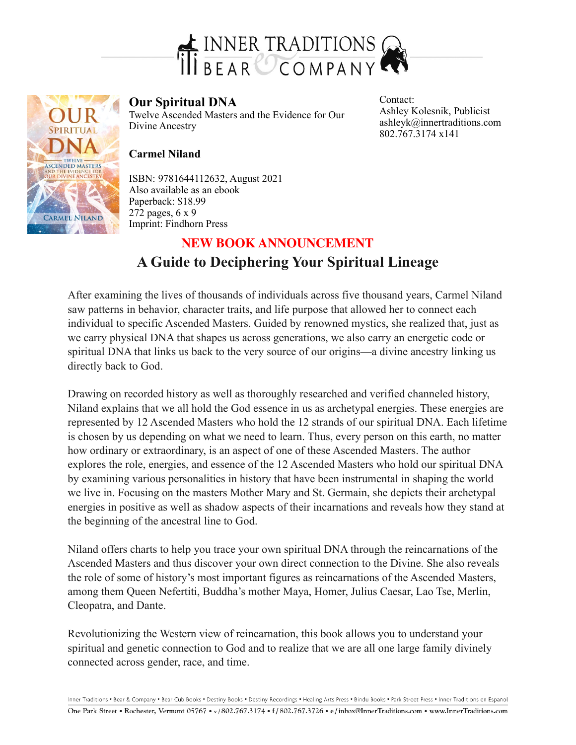

l TWELVE THE THE MASTERS CARMEL NILAND

## **Our Spiritual DNA**

Twelve Ascended Masters and the Evidence for Our Divine Ancestry

Contact: Ashley Kolesnik, Publicist ashleyk@innertraditions.com 802.767.3174 x141

## **Carmel Niland**

ISBN: 9781644112632, August 2021 Also available as an ebook Paperback: \$18.99 272 pages, 6 x 9 Imprint: Findhorn Press

## **A Guide to Deciphering Your Spiritual Lineage NEW BOOK ANNOUNCEMENT**

After examining the lives of thousands of individuals across five thousand years, Carmel Niland saw patterns in behavior, character traits, and life purpose that allowed her to connect each individual to specific Ascended Masters. Guided by renowned mystics, she realized that, just as we carry physical DNA that shapes us across generations, we also carry an energetic code or spiritual DNA that links us back to the very source of our origins—a divine ancestry linking us directly back to God.

Drawing on recorded history as well as thoroughly researched and verified channeled history, Niland explains that we all hold the God essence in us as archetypal energies. These energies are represented by 12 Ascended Masters who hold the 12 strands of our spiritual DNA. Each lifetime is chosen by us depending on what we need to learn. Thus, every person on this earth, no matter how ordinary or extraordinary, is an aspect of one of these Ascended Masters. The author explores the role, energies, and essence of the 12 Ascended Masters who hold our spiritual DNA by examining various personalities in history that have been instrumental in shaping the world we live in. Focusing on the masters Mother Mary and St. Germain, she depicts their archetypal energies in positive as well as shadow aspects of their incarnations and reveals how they stand at the beginning of the ancestral line to God.

Niland offers charts to help you trace your own spiritual DNA through the reincarnations of the Ascended Masters and thus discover your own direct connection to the Divine. She also reveals the role of some of history's most important figures as reincarnations of the Ascended Masters, among them Queen Nefertiti, Buddha's mother Maya, Homer, Julius Caesar, Lao Tse, Merlin, Cleopatra, and Dante.

Revolutionizing the Western view of reincarnation, this book allows you to understand your spiritual and genetic connection to God and to realize that we are all one large family divinely connected across gender, race, and time.